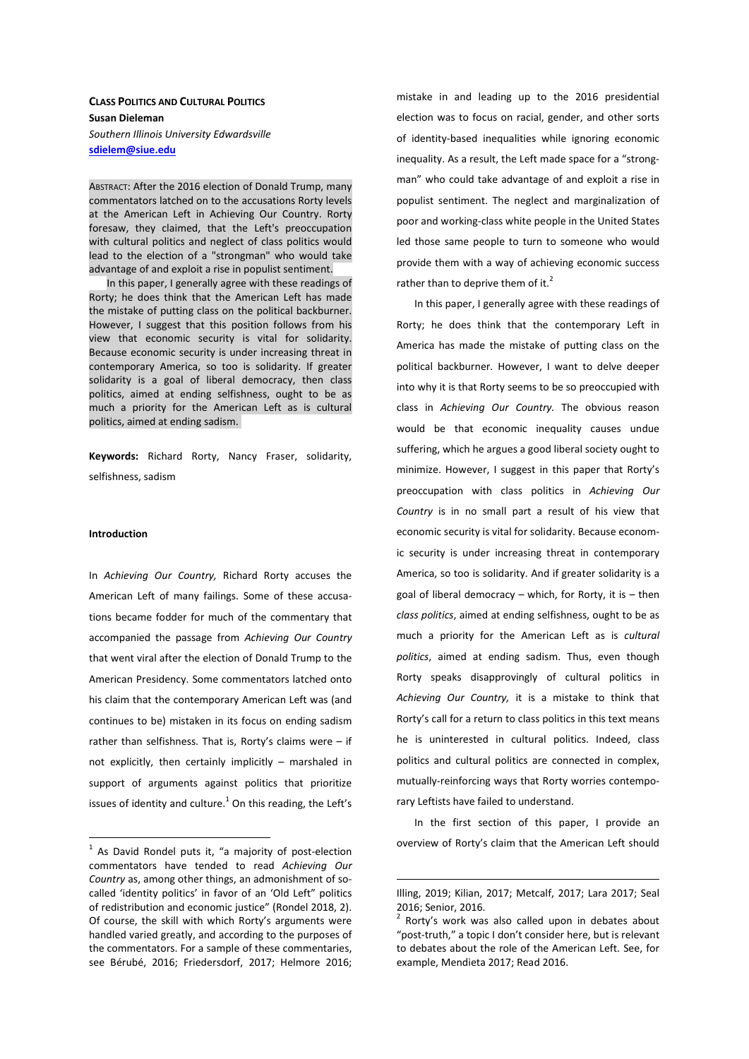# CLASS POLITICS AND CULTURAL POLITICS Susan Dieleman Southern Illinois University Edwardsville sdielem@siue.edu

ABSTRACT: After the 2016 election of Donald Trump, many commentators latched on to the accusations Rorty levels at the American Left in Achieving Our Country. Rorty foresaw, they claimed, that the Left's preoccupation with cultural politics and neglect of class politics would lead to the election of a "strongman" who would take advantage of and exploit a rise in populist sentiment.

In this paper, I generally agree with these readings of Rorty; he does think that the American Left has made the mistake of putting class on the political backburner. However, I suggest that this position follows from his view that economic security is vital for solidarity. Because economic security is under increasing threat in contemporary America, so too is solidarity. If greater solidarity is a goal of liberal democracy, then class politics, aimed at ending selfishness, ought to be as much a priority for the American Left as is cultural politics, aimed at ending sadism.

Keywords: Richard Rorty, Nancy Fraser, solidarity, selfishness, sadism

# Introduction

 $\overline{a}$ 

In Achieving Our Country, Richard Rorty accuses the American Left of many failings. Some of these accusations became fodder for much of the commentary that accompanied the passage from Achieving Our Country that went viral after the election of Donald Trump to the American Presidency. Some commentators latched onto his claim that the contemporary American Left was (and continues to be) mistaken in its focus on ending sadism rather than selfishness. That is, Rorty's claims were – if not explicitly, then certainly implicitly – marshaled in support of arguments against politics that prioritize issues of identity and culture. $^1$  On this reading, the Left's mistake in and leading up to the 2016 presidential election was to focus on racial, gender, and other sorts of identity-based inequalities while ignoring economic inequality. As a result, the Left made space for a "strongman" who could take advantage of and exploit a rise in populist sentiment. The neglect and marginalization of poor and working-class white people in the United States led those same people to turn to someone who would provide them with a way of achieving economic success rather than to deprive them of it. $<sup>2</sup>$ </sup>

In this paper, I generally agree with these readings of Rorty; he does think that the contemporary Left in America has made the mistake of putting class on the political backburner. However, I want to delve deeper into why it is that Rorty seems to be so preoccupied with class in Achieving Our Country. The obvious reason would be that economic inequality causes undue suffering, which he argues a good liberal society ought to minimize. However, I suggest in this paper that Rorty's preoccupation with class politics in Achieving Our Country is in no small part a result of his view that economic security is vital for solidarity. Because economic security is under increasing threat in contemporary America, so too is solidarity. And if greater solidarity is a goal of liberal democracy  $-$  which, for Rorty, it is  $-$  then class politics, aimed at ending selfishness, ought to be as much a priority for the American Left as is cultural politics, aimed at ending sadism. Thus, even though Rorty speaks disapprovingly of cultural politics in Achieving Our Country, it is a mistake to think that Rorty's call for a return to class politics in this text means he is uninterested in cultural politics. Indeed, class politics and cultural politics are connected in complex, mutually-reinforcing ways that Rorty worries contemporary Leftists have failed to understand.

In the first section of this paper, I provide an overview of Rorty's claim that the American Left should

 $1$  As David Rondel puts it, "a majority of post-election commentators have tended to read Achieving Our Country as, among other things, an admonishment of socalled 'identity politics' in favor of an 'Old Left" politics of redistribution and economic justice" (Rondel 2018, 2). Of course, the skill with which Rorty's arguments were handled varied greatly, and according to the purposes of the commentators. For a sample of these commentaries, see Bérubé, 2016; Friedersdorf, 2017; Helmore 2016;

Illing, 2019; Kilian, 2017; Metcalf, 2017; Lara 2017; Seal 2016; Senior, 2016.

<sup>2</sup> Rorty's work was also called upon in debates about "post-truth," a topic I don't consider here, but is relevant to debates about the role of the American Left. See, for example, Mendieta 2017; Read 2016.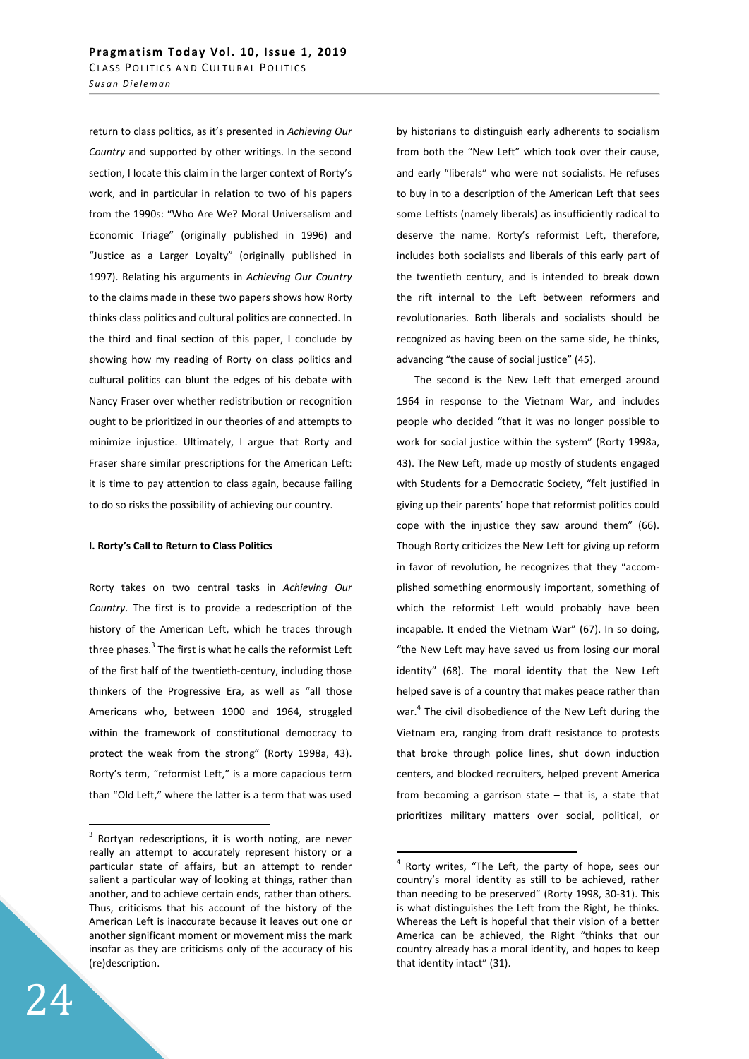return to class politics, as it's presented in Achieving Our Country and supported by other writings. In the second section, I locate this claim in the larger context of Rorty's work, and in particular in relation to two of his papers from the 1990s: "Who Are We? Moral Universalism and Economic Triage" (originally published in 1996) and "Justice as a Larger Loyalty" (originally published in 1997). Relating his arguments in Achieving Our Country to the claims made in these two papers shows how Rorty thinks class politics and cultural politics are connected. In the third and final section of this paper, I conclude by showing how my reading of Rorty on class politics and cultural politics can blunt the edges of his debate with Nancy Fraser over whether redistribution or recognition ought to be prioritized in our theories of and attempts to minimize injustice. Ultimately, I argue that Rorty and Fraser share similar prescriptions for the American Left: it is time to pay attention to class again, because failing to do so risks the possibility of achieving our country.

## I. Rorty's Call to Return to Class Politics

Rorty takes on two central tasks in Achieving Our Country. The first is to provide a redescription of the history of the American Left, which he traces through three phases.<sup>3</sup> The first is what he calls the reformist Left of the first half of the twentieth-century, including those thinkers of the Progressive Era, as well as "all those Americans who, between 1900 and 1964, struggled within the framework of constitutional democracy to protect the weak from the strong" (Rorty 1998a, 43). Rorty's term, "reformist Left," is a more capacious term than "Old Left," where the latter is a term that was used

by historians to distinguish early adherents to socialism from both the "New Left" which took over their cause, and early "liberals" who were not socialists. He refuses to buy in to a description of the American Left that sees some Leftists (namely liberals) as insufficiently radical to deserve the name. Rorty's reformist Left, therefore, includes both socialists and liberals of this early part of the twentieth century, and is intended to break down the rift internal to the Left between reformers and revolutionaries. Both liberals and socialists should be recognized as having been on the same side, he thinks, advancing "the cause of social justice" (45).

The second is the New Left that emerged around 1964 in response to the Vietnam War, and includes people who decided "that it was no longer possible to work for social justice within the system" (Rorty 1998a, 43). The New Left, made up mostly of students engaged with Students for a Democratic Society, "felt justified in giving up their parents' hope that reformist politics could cope with the injustice they saw around them" (66). Though Rorty criticizes the New Left for giving up reform in favor of revolution, he recognizes that they "accomplished something enormously important, something of which the reformist Left would probably have been incapable. It ended the Vietnam War" (67). In so doing, "the New Left may have saved us from losing our moral identity" (68). The moral identity that the New Left helped save is of a country that makes peace rather than war.<sup>4</sup> The civil disobedience of the New Left during the Vietnam era, ranging from draft resistance to protests that broke through police lines, shut down induction centers, and blocked recruiters, helped prevent America from becoming a garrison state – that is, a state that prioritizes military matters over social, political, or

-

 $3$  Rortyan redescriptions, it is worth noting, are never really an attempt to accurately represent history or a particular state of affairs, but an attempt to render salient a particular way of looking at things, rather than another, and to achieve certain ends, rather than others. Thus, criticisms that his account of the history of the American Left is inaccurate because it leaves out one or another significant moment or movement miss the mark insofar as they are criticisms only of the accuracy of his (re)description.

<sup>&</sup>lt;sup>4</sup> Rorty writes, "The Left, the party of hope, sees our country's moral identity as still to be achieved, rather than needing to be preserved" (Rorty 1998, 30-31). This is what distinguishes the Left from the Right, he thinks. Whereas the Left is hopeful that their vision of a better America can be achieved, the Right "thinks that our country already has a moral identity, and hopes to keep that identity intact" (31).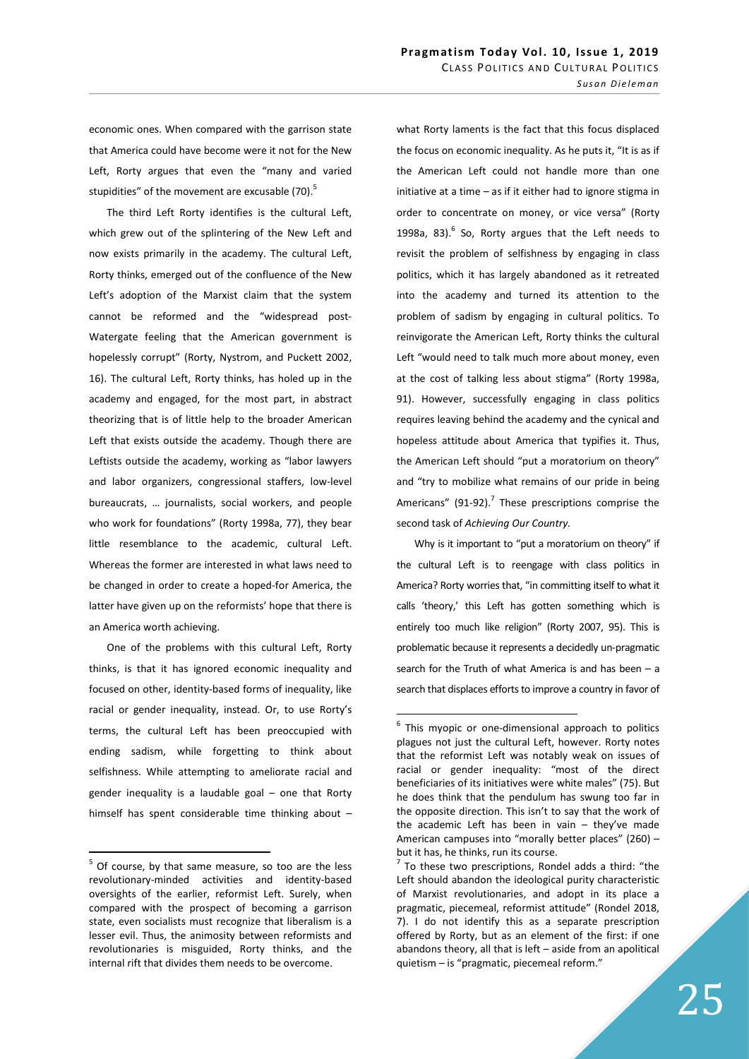economic ones. When compared with the garrison state that America could have become were it not for the New Left, Rorty argues that even the "many and varied stupidities" of the movement are excusable (70).<sup>5</sup>

The third Left Rorty identifies is the cultural Left, which grew out of the splintering of the New Left and now exists primarily in the academy. The cultural Left, Rorty thinks, emerged out of the confluence of the New Left's adoption of the Marxist claim that the system cannot be reformed and the "widespread post-Watergate feeling that the American government is hopelessly corrupt" (Rorty, Nystrom, and Puckett 2002, 16). The cultural Left, Rorty thinks, has holed up in the academy and engaged, for the most part, in abstract theorizing that is of little help to the broader American Left that exists outside the academy. Though there are Leftists outside the academy, working as "labor lawyers and labor organizers, congressional staffers, low-level bureaucrats, … journalists, social workers, and people who work for foundations" (Rorty 1998a, 77), they bear little resemblance to the academic, cultural Left. Whereas the former are interested in what laws need to be changed in order to create a hoped-for America, the latter have given up on the reformists' hope that there is an America worth achieving.

One of the problems with this cultural Left, Rorty thinks, is that it has ignored economic inequality and focused on other, identity-based forms of inequality, like racial or gender inequality, instead. Or, to use Rorty's terms, the cultural Left has been preoccupied with ending sadism, while forgetting to think about selfishness. While attempting to ameliorate racial and gender inequality is a laudable goal – one that Rorty himself has spent considerable time thinking about –

 $\overline{a}$ 

what Rorty laments is the fact that this focus displaced the focus on economic inequality. As he puts it, "It is as if the American Left could not handle more than one initiative at a time – as if it either had to ignore stigma in order to concentrate on money, or vice versa" (Rorty 1998a, 83). $^{6}$  So, Rorty argues that the Left needs to revisit the problem of selfishness by engaging in class politics, which it has largely abandoned as it retreated into the academy and turned its attention to the problem of sadism by engaging in cultural politics. To reinvigorate the American Left, Rorty thinks the cultural Left "would need to talk much more about money, even at the cost of talking less about stigma" (Rorty 1998a, 91). However, successfully engaging in class politics requires leaving behind the academy and the cynical and hopeless attitude about America that typifies it. Thus, the American Left should "put a moratorium on theory" and "try to mobilize what remains of our pride in being Americans"  $(91-92)$ .<sup>7</sup> These prescriptions comprise the second task of Achieving Our Country.

Why is it important to "put a moratorium on theory" if the cultural Left is to reengage with class politics in America? Rorty worries that, "in committing itself to what it calls 'theory,' this Left has gotten something which is entirely too much like religion" (Rorty 2007, 95). This is problematic because it represents a decidedly un-pragmatic search for the Truth of what America is and has been  $-$  a search that displaces efforts to improve a country in favor of

 $5$  Of course, by that same measure, so too are the less revolutionary-minded activities and identity-based oversights of the earlier, reformist Left. Surely, when compared with the prospect of becoming a garrison state, even socialists must recognize that liberalism is a lesser evil. Thus, the animosity between reformists and revolutionaries is misguided, Rorty thinks, and the internal rift that divides them needs to be overcome.

<sup>&</sup>lt;sup>6</sup> This myopic or one-dimensional approach to politics plagues not just the cultural Left, however. Rorty notes that the reformist Left was notably weak on issues of racial or gender inequality: "most of the direct beneficiaries of its initiatives were white males" (75). But he does think that the pendulum has swung too far in the opposite direction. This isn't to say that the work of the academic Left has been in vain  $-$  they've made American campuses into "morally better places" (260) – but it has, he thinks, run its course.

 $7$  To these two prescriptions, Rondel adds a third: "the Left should abandon the ideological purity characteristic of Marxist revolutionaries, and adopt in its place a pragmatic, piecemeal, reformist attitude" (Rondel 2018, 7). I do not identify this as a separate prescription offered by Rorty, but as an element of the first: if one abandons theory, all that is left – aside from an apolitical quietism – is "pragmatic, piecemeal reform."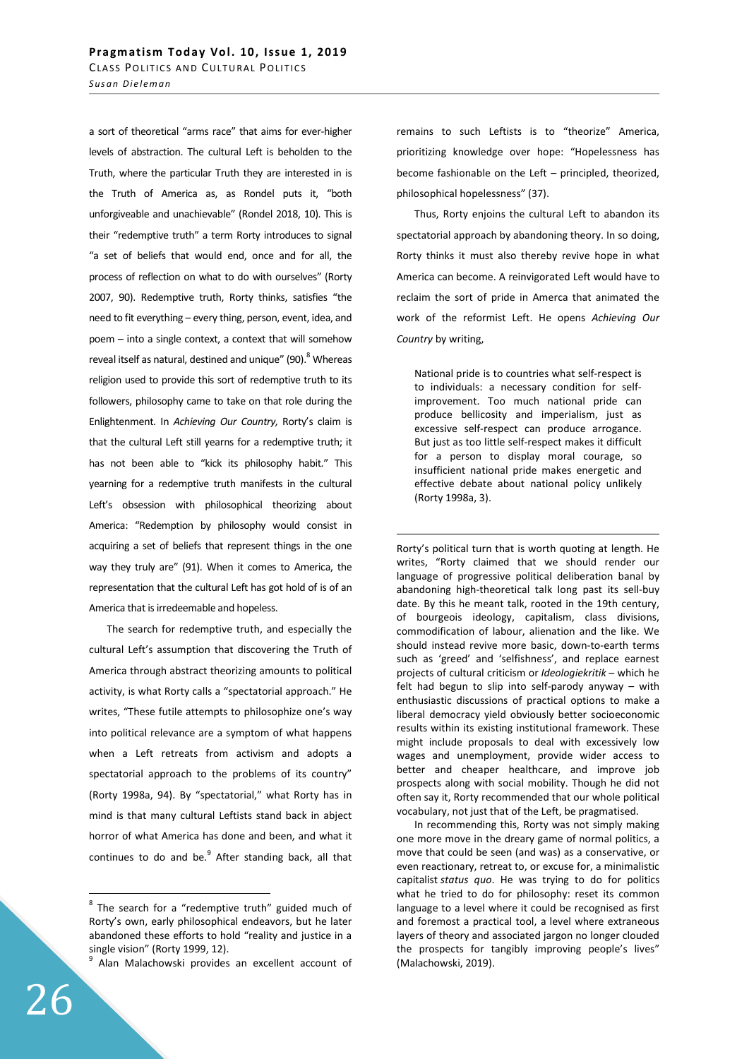a sort of theoretical "arms race" that aims for ever-higher levels of abstraction. The cultural Left is beholden to the Truth, where the particular Truth they are interested in is the Truth of America as, as Rondel puts it, "both unforgiveable and unachievable" (Rondel 2018, 10). This is their "redemptive truth" a term Rorty introduces to signal "a set of beliefs that would end, once and for all, the process of reflection on what to do with ourselves" (Rorty 2007, 90). Redemptive truth, Rorty thinks, satisfies "the need to fit everything – every thing, person, event, idea, and poem – into a single context, a context that will somehow reveal itself as natural, destined and unique" (90). <sup>8</sup> Whereas religion used to provide this sort of redemptive truth to its followers, philosophy came to take on that role during the Enlightenment. In Achieving Our Country, Rorty's claim is that the cultural Left still yearns for a redemptive truth; it has not been able to "kick its philosophy habit." This yearning for a redemptive truth manifests in the cultural Left's obsession with philosophical theorizing about America: "Redemption by philosophy would consist in acquiring a set of beliefs that represent things in the one way they truly are" (91). When it comes to America, the representation that the cultural Left has got hold of is of an America that is irredeemable and hopeless.

The search for redemptive truth, and especially the cultural Left's assumption that discovering the Truth of America through abstract theorizing amounts to political activity, is what Rorty calls a "spectatorial approach." He writes, "These futile attempts to philosophize one's way into political relevance are a symptom of what happens when a Left retreats from activism and adopts a spectatorial approach to the problems of its country" (Rorty 1998a, 94). By "spectatorial," what Rorty has in mind is that many cultural Leftists stand back in abject horror of what America has done and been, and what it continues to do and be.<sup>9</sup> After standing back, all that

9 Alan Malachowski provides an excellent account of remains to such Leftists is to "theorize" America, prioritizing knowledge over hope: "Hopelessness has become fashionable on the Left – principled, theorized, philosophical hopelessness" (37).

Thus, Rorty enjoins the cultural Left to abandon its spectatorial approach by abandoning theory. In so doing, Rorty thinks it must also thereby revive hope in what America can become. A reinvigorated Left would have to reclaim the sort of pride in Amerca that animated the work of the reformist Left. He opens Achieving Our Country by writing,

National pride is to countries what self-respect is to individuals: a necessary condition for selfimprovement. Too much national pride can produce bellicosity and imperialism, just as excessive self-respect can produce arrogance. But just as too little self-respect makes it difficult for a person to display moral courage, so insufficient national pride makes energetic and effective debate about national policy unlikely (Rorty 1998a, 3).

-

Rorty's political turn that is worth quoting at length. He writes, "Rorty claimed that we should render our language of progressive political deliberation banal by abandoning high-theoretical talk long past its sell-buy date. By this he meant talk, rooted in the 19th century, of bourgeois ideology, capitalism, class divisions, commodification of labour, alienation and the like. We should instead revive more basic, down-to-earth terms such as 'greed' and 'selfishness', and replace earnest projects of cultural criticism or Ideologiekritik – which he felt had begun to slip into self-parody anyway – with enthusiastic discussions of practical options to make a liberal democracy yield obviously better socioeconomic results within its existing institutional framework. These might include proposals to deal with excessively low wages and unemployment, provide wider access to better and cheaper healthcare, and improve job prospects along with social mobility. Though he did not often say it, Rorty recommended that our whole political vocabulary, not just that of the Left, be pragmatised.

In recommending this, Rorty was not simply making one more move in the dreary game of normal politics, a move that could be seen (and was) as a conservative, or even reactionary, retreat to, or excuse for, a minimalistic capitalist status quo. He was trying to do for politics what he tried to do for philosophy: reset its common language to a level where it could be recognised as first and foremost a practical tool, a level where extraneous layers of theory and associated jargon no longer clouded the prospects for tangibly improving people's lives" (Malachowski, 2019).

<sup>&</sup>lt;sup>8</sup> The search for a "redemptive truth" guided much of Rorty's own, early philosophical endeavors, but he later abandoned these efforts to hold "reality and justice in a single vision" (Rorty 1999, 12).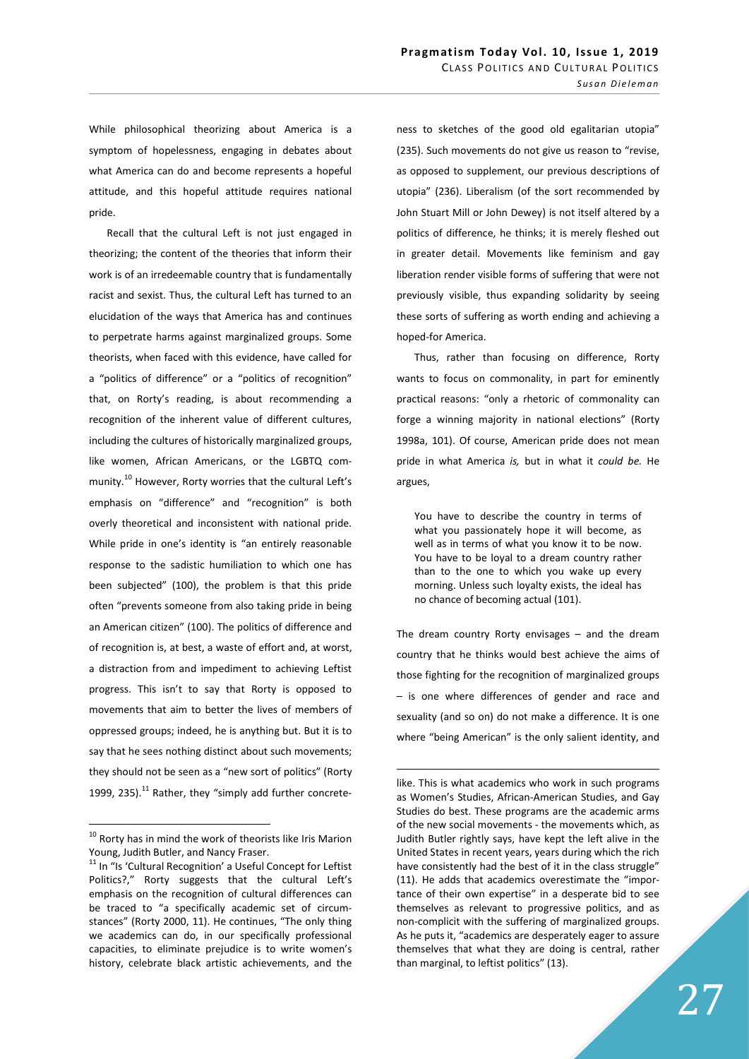While philosophical theorizing about America is a symptom of hopelessness, engaging in debates about what America can do and become represents a hopeful attitude, and this hopeful attitude requires national pride.

Recall that the cultural Left is not just engaged in theorizing; the content of the theories that inform their work is of an irredeemable country that is fundamentally racist and sexist. Thus, the cultural Left has turned to an elucidation of the ways that America has and continues to perpetrate harms against marginalized groups. Some theorists, when faced with this evidence, have called for a "politics of difference" or a "politics of recognition" that, on Rorty's reading, is about recommending a recognition of the inherent value of different cultures, including the cultures of historically marginalized groups, like women, African Americans, or the LGBTQ community.<sup>10</sup> However, Rorty worries that the cultural Left's emphasis on "difference" and "recognition" is both overly theoretical and inconsistent with national pride. While pride in one's identity is "an entirely reasonable response to the sadistic humiliation to which one has been subjected" (100), the problem is that this pride often "prevents someone from also taking pride in being an American citizen" (100). The politics of difference and of recognition is, at best, a waste of effort and, at worst, a distraction from and impediment to achieving Leftist progress. This isn't to say that Rorty is opposed to movements that aim to better the lives of members of oppressed groups; indeed, he is anything but. But it is to say that he sees nothing distinct about such movements; they should not be seen as a "new sort of politics" (Rorty 1999, 235). $^{11}$  Rather, they "simply add further concrete-

 $\overline{a}$ 

ness to sketches of the good old egalitarian utopia" (235). Such movements do not give us reason to "revise, as opposed to supplement, our previous descriptions of utopia" (236). Liberalism (of the sort recommended by John Stuart Mill or John Dewey) is not itself altered by a politics of difference, he thinks; it is merely fleshed out in greater detail. Movements like feminism and gay liberation render visible forms of suffering that were not previously visible, thus expanding solidarity by seeing these sorts of suffering as worth ending and achieving a hoped-for America.

Thus, rather than focusing on difference, Rorty wants to focus on commonality, in part for eminently practical reasons: "only a rhetoric of commonality can forge a winning majority in national elections" (Rorty 1998a, 101). Of course, American pride does not mean pride in what America is, but in what it could be. He argues,

You have to describe the country in terms of what you passionately hope it will become, as well as in terms of what you know it to be now. You have to be loyal to a dream country rather than to the one to which you wake up every morning. Unless such loyalty exists, the ideal has no chance of becoming actual (101).

The dream country Rorty envisages – and the dream country that he thinks would best achieve the aims of those fighting for the recognition of marginalized groups – is one where differences of gender and race and sexuality (and so on) do not make a difference. It is one where "being American" is the only salient identity, and

<sup>&</sup>lt;sup>10</sup> Rorty has in mind the work of theorists like Iris Marion Young, Judith Butler, and Nancy Fraser.

<sup>&</sup>lt;sup>11</sup> In "Is 'Cultural Recognition' a Useful Concept for Leftist Politics?," Rorty suggests that the cultural Left's emphasis on the recognition of cultural differences can be traced to "a specifically academic set of circumstances" (Rorty 2000, 11). He continues, "The only thing we academics can do, in our specifically professional capacities, to eliminate prejudice is to write women's history, celebrate black artistic achievements, and the

like. This is what academics who work in such programs as Women's Studies, African-American Studies, and Gay Studies do best. These programs are the academic arms of the new social movements - the movements which, as Judith Butler rightly says, have kept the left alive in the United States in recent years, years during which the rich have consistently had the best of it in the class struggle" (11). He adds that academics overestimate the "importance of their own expertise" in a desperate bid to see themselves as relevant to progressive politics, and as non-complicit with the suffering of marginalized groups. As he puts it, "academics are desperately eager to assure themselves that what they are doing is central, rather than marginal, to leftist politics" (13).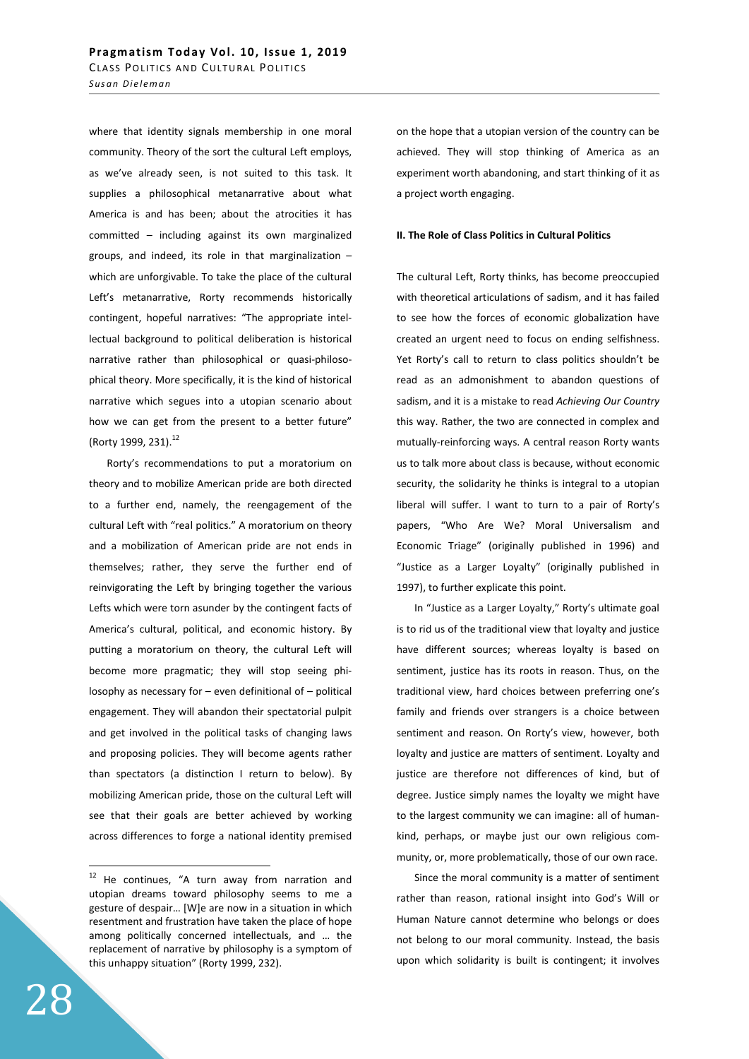where that identity signals membership in one moral community. Theory of the sort the cultural Left employs, as we've already seen, is not suited to this task. It supplies a philosophical metanarrative about what America is and has been; about the atrocities it has committed – including against its own marginalized groups, and indeed, its role in that marginalization – which are unforgivable. To take the place of the cultural Left's metanarrative, Rorty recommends historically contingent, hopeful narratives: "The appropriate intellectual background to political deliberation is historical narrative rather than philosophical or quasi-philosophical theory. More specifically, it is the kind of historical narrative which segues into a utopian scenario about how we can get from the present to a better future" (Rorty 1999, 231).<sup>12</sup>

Rorty's recommendations to put a moratorium on theory and to mobilize American pride are both directed to a further end, namely, the reengagement of the cultural Left with "real politics." A moratorium on theory and a mobilization of American pride are not ends in themselves; rather, they serve the further end of reinvigorating the Left by bringing together the various Lefts which were torn asunder by the contingent facts of America's cultural, political, and economic history. By putting a moratorium on theory, the cultural Left will become more pragmatic; they will stop seeing philosophy as necessary for – even definitional of – political engagement. They will abandon their spectatorial pulpit and get involved in the political tasks of changing laws and proposing policies. They will become agents rather than spectators (a distinction I return to below). By mobilizing American pride, those on the cultural Left will see that their goals are better achieved by working across differences to forge a national identity premised

on the hope that a utopian version of the country can be achieved. They will stop thinking of America as an experiment worth abandoning, and start thinking of it as a project worth engaging.

#### II. The Role of Class Politics in Cultural Politics

The cultural Left, Rorty thinks, has become preoccupied with theoretical articulations of sadism, and it has failed to see how the forces of economic globalization have created an urgent need to focus on ending selfishness. Yet Rorty's call to return to class politics shouldn't be read as an admonishment to abandon questions of sadism, and it is a mistake to read Achieving Our Country this way. Rather, the two are connected in complex and mutually-reinforcing ways. A central reason Rorty wants us to talk more about class is because, without economic security, the solidarity he thinks is integral to a utopian liberal will suffer. I want to turn to a pair of Rorty's papers, "Who Are We? Moral Universalism and Economic Triage" (originally published in 1996) and "Justice as a Larger Loyalty" (originally published in 1997), to further explicate this point.

In "Justice as a Larger Loyalty," Rorty's ultimate goal is to rid us of the traditional view that loyalty and justice have different sources; whereas loyalty is based on sentiment, justice has its roots in reason. Thus, on the traditional view, hard choices between preferring one's family and friends over strangers is a choice between sentiment and reason. On Rorty's view, however, both loyalty and justice are matters of sentiment. Loyalty and justice are therefore not differences of kind, but of degree. Justice simply names the loyalty we might have to the largest community we can imagine: all of humankind, perhaps, or maybe just our own religious community, or, more problematically, those of our own race.

Since the moral community is a matter of sentiment rather than reason, rational insight into God's Will or Human Nature cannot determine who belongs or does not belong to our moral community. Instead, the basis upon which solidarity is built is contingent; it involves

<sup>&</sup>lt;sup>12</sup> He continues, "A turn away from narration and utopian dreams toward philosophy seems to me a gesture of despair… [W]e are now in a situation in which resentment and frustration have taken the place of hope among politically concerned intellectuals, and … the replacement of narrative by philosophy is a symptom of this unhappy situation" (Rorty 1999, 232).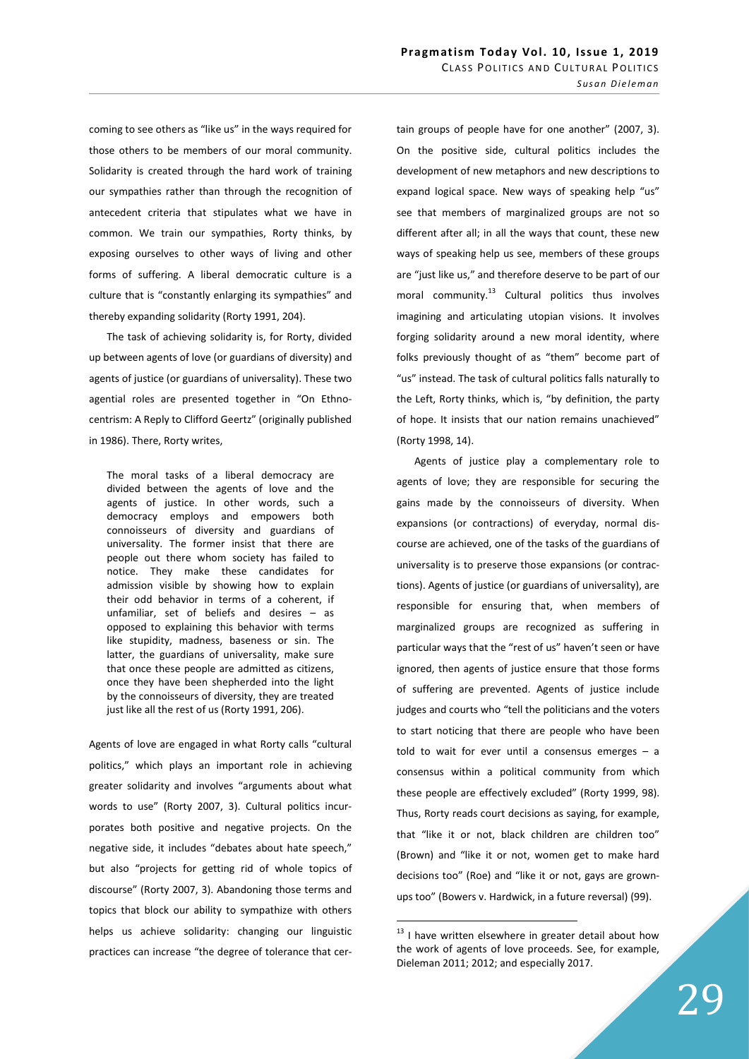coming to see others as "like us" in the ways required for those others to be members of our moral community. Solidarity is created through the hard work of training our sympathies rather than through the recognition of antecedent criteria that stipulates what we have in common. We train our sympathies, Rorty thinks, by exposing ourselves to other ways of living and other forms of suffering. A liberal democratic culture is a culture that is "constantly enlarging its sympathies" and thereby expanding solidarity (Rorty 1991, 204).

The task of achieving solidarity is, for Rorty, divided up between agents of love (or guardians of diversity) and agents of justice (or guardians of universality). These two agential roles are presented together in "On Ethnocentrism: A Reply to Clifford Geertz" (originally published in 1986). There, Rorty writes,

The moral tasks of a liberal democracy are divided between the agents of love and the agents of justice. In other words, such a democracy employs and empowers both connoisseurs of diversity and guardians of universality. The former insist that there are people out there whom society has failed to notice. They make these candidates for admission visible by showing how to explain their odd behavior in terms of a coherent, if unfamiliar, set of beliefs and desires – as opposed to explaining this behavior with terms like stupidity, madness, baseness or sin. The latter, the guardians of universality, make sure that once these people are admitted as citizens, once they have been shepherded into the light by the connoisseurs of diversity, they are treated just like all the rest of us (Rorty 1991, 206).

Agents of love are engaged in what Rorty calls "cultural politics," which plays an important role in achieving greater solidarity and involves "arguments about what words to use" (Rorty 2007, 3). Cultural politics incurporates both positive and negative projects. On the negative side, it includes "debates about hate speech," but also "projects for getting rid of whole topics of discourse" (Rorty 2007, 3). Abandoning those terms and topics that block our ability to sympathize with others helps us achieve solidarity: changing our linguistic practices can increase "the degree of tolerance that certain groups of people have for one another" (2007, 3). On the positive side, cultural politics includes the development of new metaphors and new descriptions to expand logical space. New ways of speaking help "us" see that members of marginalized groups are not so different after all; in all the ways that count, these new ways of speaking help us see, members of these groups are "just like us," and therefore deserve to be part of our moral community. $^{13}$  Cultural politics thus involves imagining and articulating utopian visions. It involves forging solidarity around a new moral identity, where folks previously thought of as "them" become part of "us" instead. The task of cultural politics falls naturally to the Left, Rorty thinks, which is, "by definition, the party of hope. It insists that our nation remains unachieved" (Rorty 1998, 14).

Agents of justice play a complementary role to agents of love; they are responsible for securing the gains made by the connoisseurs of diversity. When expansions (or contractions) of everyday, normal discourse are achieved, one of the tasks of the guardians of universality is to preserve those expansions (or contractions). Agents of justice (or guardians of universality), are responsible for ensuring that, when members of marginalized groups are recognized as suffering in particular ways that the "rest of us" haven't seen or have ignored, then agents of justice ensure that those forms of suffering are prevented. Agents of justice include judges and courts who "tell the politicians and the voters to start noticing that there are people who have been told to wait for ever until a consensus emerges – a consensus within a political community from which these people are effectively excluded" (Rorty 1999, 98). Thus, Rorty reads court decisions as saying, for example, that "like it or not, black children are children too" (Brown) and "like it or not, women get to make hard decisions too" (Roe) and "like it or not, gays are grownups too" (Bowers v. Hardwick, in a future reversal) (99).

 $13$  I have written elsewhere in greater detail about how the work of agents of love proceeds. See, for example, Dieleman 2011; 2012; and especially 2017.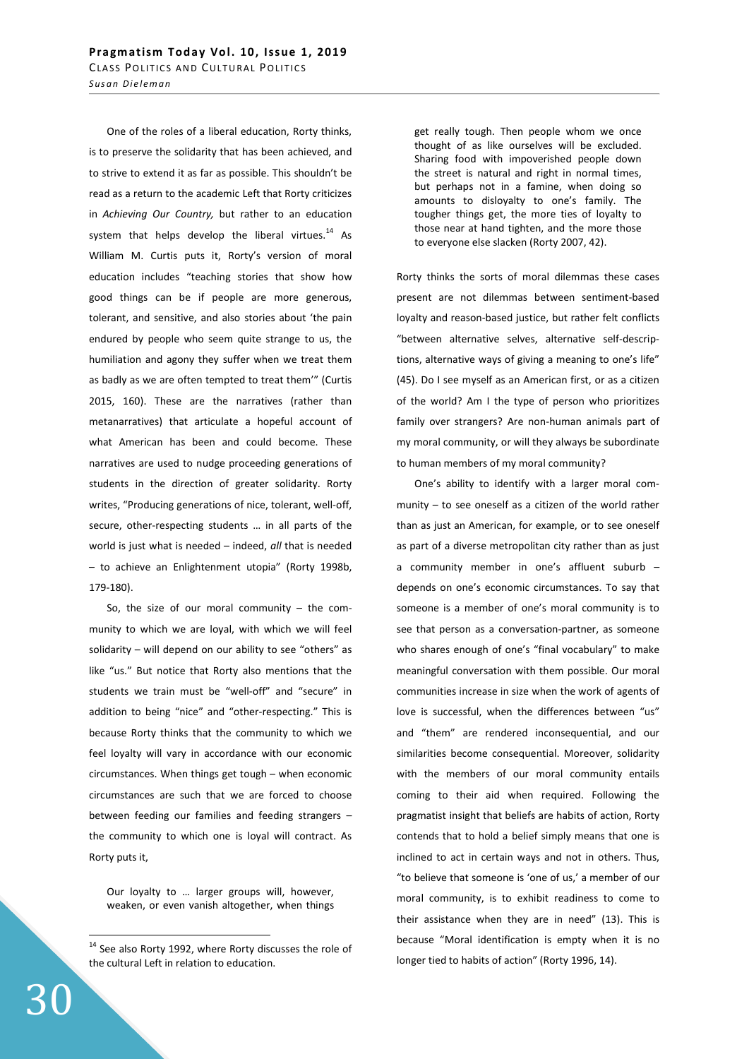One of the roles of a liberal education, Rorty thinks, is to preserve the solidarity that has been achieved, and to strive to extend it as far as possible. This shouldn't be read as a return to the academic Left that Rorty criticizes in Achieving Our Country, but rather to an education system that helps develop the liberal virtues. $^{14}$  As William M. Curtis puts it, Rorty's version of moral education includes "teaching stories that show how good things can be if people are more generous, tolerant, and sensitive, and also stories about 'the pain endured by people who seem quite strange to us, the humiliation and agony they suffer when we treat them as badly as we are often tempted to treat them'" (Curtis 2015, 160). These are the narratives (rather than metanarratives) that articulate a hopeful account of what American has been and could become. These narratives are used to nudge proceeding generations of students in the direction of greater solidarity. Rorty writes, "Producing generations of nice, tolerant, well-off, secure, other-respecting students … in all parts of the world is just what is needed – indeed, all that is needed – to achieve an Enlightenment utopia" (Rorty 1998b, 179-180).

So, the size of our moral community  $-$  the community to which we are loyal, with which we will feel solidarity – will depend on our ability to see "others" as like "us." But notice that Rorty also mentions that the students we train must be "well-off" and "secure" in addition to being "nice" and "other-respecting." This is because Rorty thinks that the community to which we feel loyalty will vary in accordance with our economic circumstances. When things get tough – when economic circumstances are such that we are forced to choose between feeding our families and feeding strangers – the community to which one is loyal will contract. As Rorty puts it,

Our loyalty to … larger groups will, however, weaken, or even vanish altogether, when things get really tough. Then people whom we once thought of as like ourselves will be excluded. Sharing food with impoverished people down the street is natural and right in normal times, but perhaps not in a famine, when doing so amounts to disloyalty to one's family. The tougher things get, the more ties of loyalty to those near at hand tighten, and the more those to everyone else slacken (Rorty 2007, 42).

Rorty thinks the sorts of moral dilemmas these cases present are not dilemmas between sentiment-based loyalty and reason-based justice, but rather felt conflicts "between alternative selves, alternative self-descriptions, alternative ways of giving a meaning to one's life" (45). Do I see myself as an American first, or as a citizen of the world? Am I the type of person who prioritizes family over strangers? Are non-human animals part of my moral community, or will they always be subordinate to human members of my moral community?

One's ability to identify with a larger moral community – to see oneself as a citizen of the world rather than as just an American, for example, or to see oneself as part of a diverse metropolitan city rather than as just a community member in one's affluent suburb – depends on one's economic circumstances. To say that someone is a member of one's moral community is to see that person as a conversation-partner, as someone who shares enough of one's "final vocabulary" to make meaningful conversation with them possible. Our moral communities increase in size when the work of agents of love is successful, when the differences between "us" and "them" are rendered inconsequential, and our similarities become consequential. Moreover, solidarity with the members of our moral community entails coming to their aid when required. Following the pragmatist insight that beliefs are habits of action, Rorty contends that to hold a belief simply means that one is inclined to act in certain ways and not in others. Thus, "to believe that someone is 'one of us,' a member of our moral community, is to exhibit readiness to come to their assistance when they are in need" (13). This is because "Moral identification is empty when it is no longer tied to habits of action" (Rorty 1996, 14).

<sup>&</sup>lt;sup>14</sup> See also Rorty 1992, where Rorty discusses the role of the cultural Left in relation to education.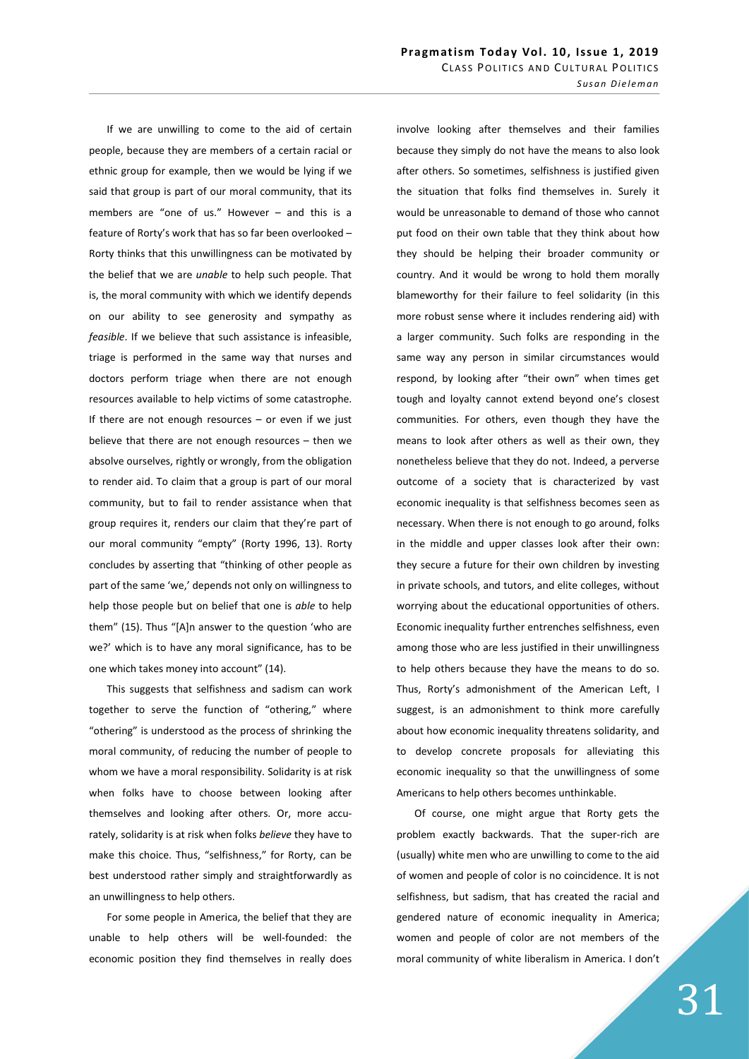If we are unwilling to come to the aid of certain people, because they are members of a certain racial or ethnic group for example, then we would be lying if we said that group is part of our moral community, that its members are "one of us." However – and this is a feature of Rorty's work that has so far been overlooked – Rorty thinks that this unwillingness can be motivated by the belief that we are unable to help such people. That is, the moral community with which we identify depends on our ability to see generosity and sympathy as feasible. If we believe that such assistance is infeasible, triage is performed in the same way that nurses and doctors perform triage when there are not enough resources available to help victims of some catastrophe. If there are not enough resources  $-$  or even if we just believe that there are not enough resources – then we absolve ourselves, rightly or wrongly, from the obligation to render aid. To claim that a group is part of our moral community, but to fail to render assistance when that group requires it, renders our claim that they're part of our moral community "empty" (Rorty 1996, 13). Rorty concludes by asserting that "thinking of other people as part of the same 'we,' depends not only on willingness to help those people but on belief that one is able to help them" (15). Thus "[A]n answer to the question 'who are we?' which is to have any moral significance, has to be one which takes money into account" (14).

This suggests that selfishness and sadism can work together to serve the function of "othering," where "othering" is understood as the process of shrinking the moral community, of reducing the number of people to whom we have a moral responsibility. Solidarity is at risk when folks have to choose between looking after themselves and looking after others. Or, more accurately, solidarity is at risk when folks believe they have to make this choice. Thus, "selfishness," for Rorty, can be best understood rather simply and straightforwardly as an unwillingness to help others.

For some people in America, the belief that they are unable to help others will be well-founded: the economic position they find themselves in really does

involve looking after themselves and their families because they simply do not have the means to also look after others. So sometimes, selfishness is justified given the situation that folks find themselves in. Surely it would be unreasonable to demand of those who cannot put food on their own table that they think about how they should be helping their broader community or country. And it would be wrong to hold them morally blameworthy for their failure to feel solidarity (in this more robust sense where it includes rendering aid) with a larger community. Such folks are responding in the same way any person in similar circumstances would respond, by looking after "their own" when times get tough and loyalty cannot extend beyond one's closest communities. For others, even though they have the means to look after others as well as their own, they nonetheless believe that they do not. Indeed, a perverse outcome of a society that is characterized by vast economic inequality is that selfishness becomes seen as necessary. When there is not enough to go around, folks in the middle and upper classes look after their own: they secure a future for their own children by investing in private schools, and tutors, and elite colleges, without worrying about the educational opportunities of others. Economic inequality further entrenches selfishness, even among those who are less justified in their unwillingness to help others because they have the means to do so. Thus, Rorty's admonishment of the American Left, I suggest, is an admonishment to think more carefully about how economic inequality threatens solidarity, and to develop concrete proposals for alleviating this economic inequality so that the unwillingness of some Americans to help others becomes unthinkable.

Of course, one might argue that Rorty gets the problem exactly backwards. That the super-rich are (usually) white men who are unwilling to come to the aid of women and people of color is no coincidence. It is not selfishness, but sadism, that has created the racial and gendered nature of economic inequality in America; women and people of color are not members of the moral community of white liberalism in America. I don't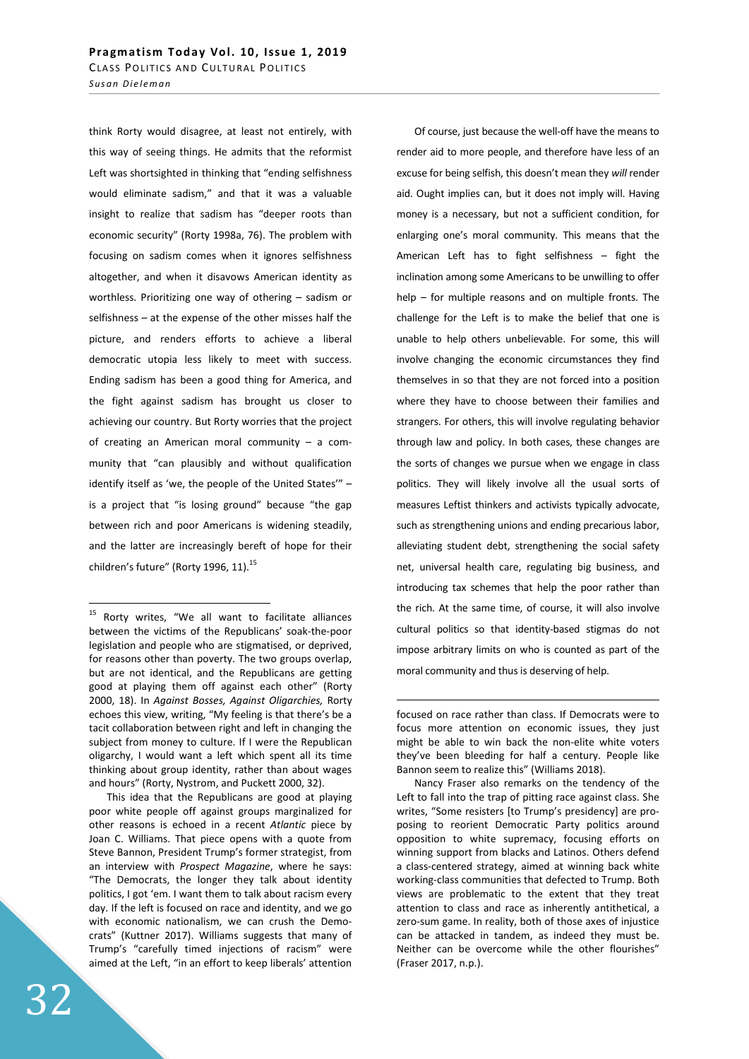think Rorty would disagree, at least not entirely, with this way of seeing things. He admits that the reformist Left was shortsighted in thinking that "ending selfishness would eliminate sadism," and that it was a valuable insight to realize that sadism has "deeper roots than economic security" (Rorty 1998a, 76). The problem with focusing on sadism comes when it ignores selfishness altogether, and when it disavows American identity as worthless. Prioritizing one way of othering – sadism or selfishness – at the expense of the other misses half the picture, and renders efforts to achieve a liberal democratic utopia less likely to meet with success. Ending sadism has been a good thing for America, and the fight against sadism has brought us closer to achieving our country. But Rorty worries that the project of creating an American moral community – a community that "can plausibly and without qualification identify itself as 'we, the people of the United States'" – is a project that "is losing ground" because "the gap between rich and poor Americans is widening steadily, and the latter are increasingly bereft of hope for their children's future" (Rorty 1996, 11). $^{15}$ 

This idea that the Republicans are good at playing poor white people off against groups marginalized for other reasons is echoed in a recent Atlantic piece by Joan C. Williams. That piece opens with a quote from Steve Bannon, President Trump's former strategist, from an interview with Prospect Magazine, where he says: "The Democrats, the longer they talk about identity politics, I got 'em. I want them to talk about racism every day. If the left is focused on race and identity, and we go with economic nationalism, we can crush the Democrats" (Kuttner 2017). Williams suggests that many of Trump's "carefully timed injections of racism" were aimed at the Left, "in an effort to keep liberals' attention

Of course, just because the well-off have the means to render aid to more people, and therefore have less of an excuse for being selfish, this doesn't mean they will render aid. Ought implies can, but it does not imply will. Having money is a necessary, but not a sufficient condition, for enlarging one's moral community. This means that the American Left has to fight selfishness – fight the inclination among some Americans to be unwilling to offer help – for multiple reasons and on multiple fronts. The challenge for the Left is to make the belief that one is unable to help others unbelievable. For some, this will involve changing the economic circumstances they find themselves in so that they are not forced into a position where they have to choose between their families and strangers. For others, this will involve regulating behavior through law and policy. In both cases, these changes are the sorts of changes we pursue when we engage in class politics. They will likely involve all the usual sorts of measures Leftist thinkers and activists typically advocate, such as strengthening unions and ending precarious labor, alleviating student debt, strengthening the social safety net, universal health care, regulating big business, and introducing tax schemes that help the poor rather than the rich. At the same time, of course, it will also involve cultural politics so that identity-based stigmas do not impose arbitrary limits on who is counted as part of the moral community and thus is deserving of help.

-

<sup>&</sup>lt;sup>15</sup> Rorty writes, "We all want to facilitate alliances between the victims of the Republicans' soak-the-poor legislation and people who are stigmatised, or deprived, for reasons other than poverty. The two groups overlap, but are not identical, and the Republicans are getting good at playing them off against each other" (Rorty 2000, 18). In Against Bosses, Against Oligarchies, Rorty echoes this view, writing, "My feeling is that there's be a tacit collaboration between right and left in changing the subject from money to culture. If I were the Republican oligarchy, I would want a left which spent all its time thinking about group identity, rather than about wages and hours" (Rorty, Nystrom, and Puckett 2000, 32).

focused on race rather than class. If Democrats were to focus more attention on economic issues, they just might be able to win back the non-elite white voters they've been bleeding for half a century. People like Bannon seem to realize this" (Williams 2018).

Nancy Fraser also remarks on the tendency of the Left to fall into the trap of pitting race against class. She writes, "Some resisters [to Trump's presidency] are proposing to reorient Democratic Party politics around opposition to white supremacy, focusing efforts on winning support from blacks and Latinos. Others defend a class-centered strategy, aimed at winning back white working-class communities that defected to Trump. Both views are problematic to the extent that they treat attention to class and race as inherently antithetical, a zero-sum game. In reality, both of those axes of injustice can be attacked in tandem, as indeed they must be. Neither can be overcome while the other flourishes" (Fraser 2017, n.p.).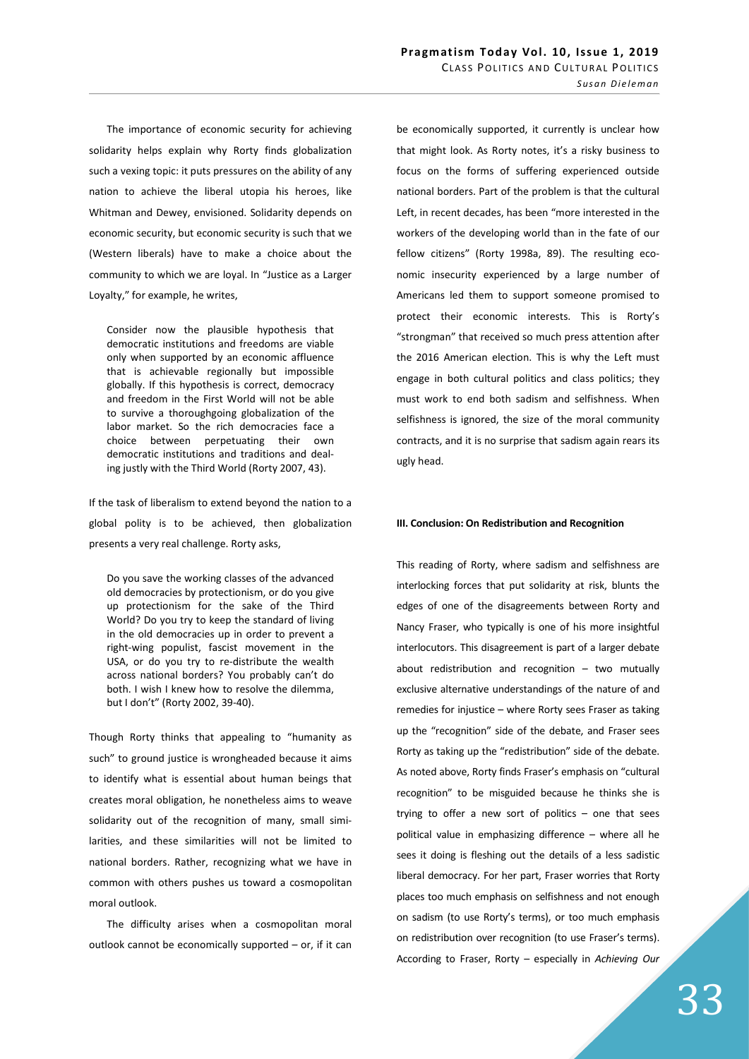The importance of economic security for achieving solidarity helps explain why Rorty finds globalization such a vexing topic: it puts pressures on the ability of any nation to achieve the liberal utopia his heroes, like Whitman and Dewey, envisioned. Solidarity depends on economic security, but economic security is such that we (Western liberals) have to make a choice about the community to which we are loyal. In "Justice as a Larger Loyalty," for example, he writes,

Consider now the plausible hypothesis that democratic institutions and freedoms are viable only when supported by an economic affluence that is achievable regionally but impossible globally. If this hypothesis is correct, democracy and freedom in the First World will not be able to survive a thoroughgoing globalization of the labor market. So the rich democracies face a choice between perpetuating their own democratic institutions and traditions and dealing justly with the Third World (Rorty 2007, 43).

If the task of liberalism to extend beyond the nation to a global polity is to be achieved, then globalization presents a very real challenge. Rorty asks,

Do you save the working classes of the advanced old democracies by protectionism, or do you give up protectionism for the sake of the Third World? Do you try to keep the standard of living in the old democracies up in order to prevent a right-wing populist, fascist movement in the USA, or do you try to re-distribute the wealth across national borders? You probably can't do both. I wish I knew how to resolve the dilemma, but I don't" (Rorty 2002, 39-40).

Though Rorty thinks that appealing to "humanity as such" to ground justice is wrongheaded because it aims to identify what is essential about human beings that creates moral obligation, he nonetheless aims to weave solidarity out of the recognition of many, small similarities, and these similarities will not be limited to national borders. Rather, recognizing what we have in common with others pushes us toward a cosmopolitan moral outlook.

The difficulty arises when a cosmopolitan moral outlook cannot be economically supported – or, if it can

be economically supported, it currently is unclear how that might look. As Rorty notes, it's a risky business to focus on the forms of suffering experienced outside national borders. Part of the problem is that the cultural Left, in recent decades, has been "more interested in the workers of the developing world than in the fate of our fellow citizens" (Rorty 1998a, 89). The resulting economic insecurity experienced by a large number of Americans led them to support someone promised to protect their economic interests. This is Rorty's "strongman" that received so much press attention after the 2016 American election. This is why the Left must engage in both cultural politics and class politics; they must work to end both sadism and selfishness. When selfishness is ignored, the size of the moral community contracts, and it is no surprise that sadism again rears its ugly head.

## III. Conclusion: On Redistribution and Recognition

This reading of Rorty, where sadism and selfishness are interlocking forces that put solidarity at risk, blunts the edges of one of the disagreements between Rorty and Nancy Fraser, who typically is one of his more insightful interlocutors. This disagreement is part of a larger debate about redistribution and recognition  $-$  two mutually exclusive alternative understandings of the nature of and remedies for injustice – where Rorty sees Fraser as taking up the "recognition" side of the debate, and Fraser sees Rorty as taking up the "redistribution" side of the debate. As noted above, Rorty finds Fraser's emphasis on "cultural recognition" to be misguided because he thinks she is trying to offer a new sort of politics  $-$  one that sees political value in emphasizing difference – where all he sees it doing is fleshing out the details of a less sadistic liberal democracy. For her part, Fraser worries that Rorty places too much emphasis on selfishness and not enough on sadism (to use Rorty's terms), or too much emphasis on redistribution over recognition (to use Fraser's terms). According to Fraser, Rorty - especially in Achieving Our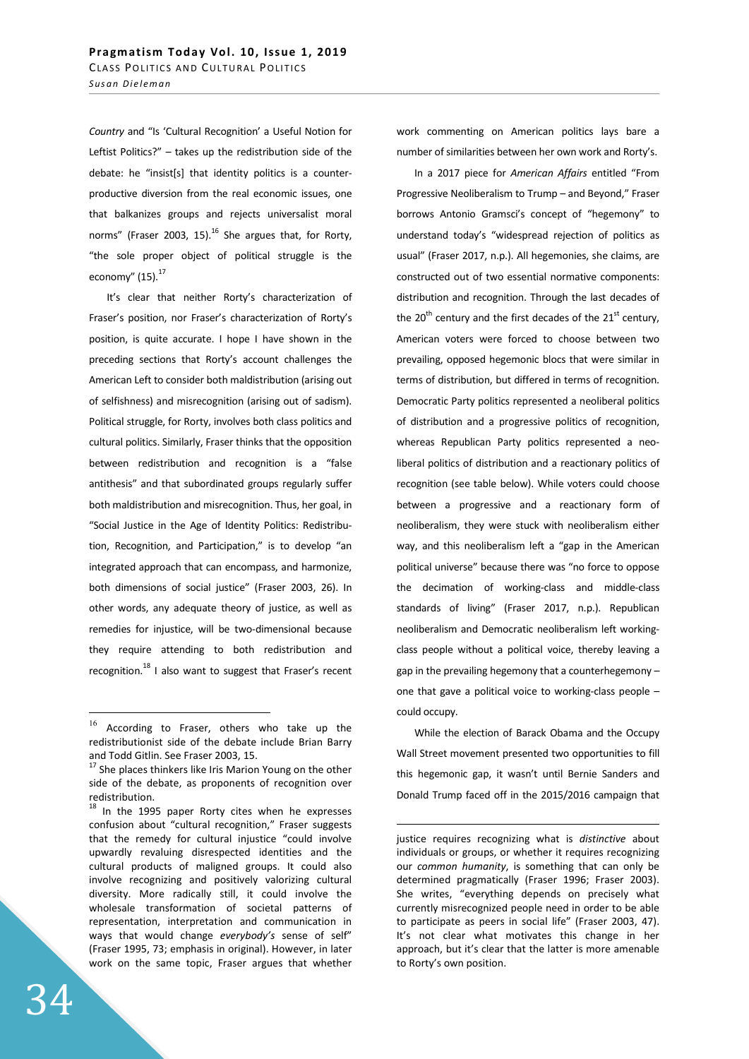Country and "Is 'Cultural Recognition' a Useful Notion for Leftist Politics?" – takes up the redistribution side of the debate: he "insist[s] that identity politics is a counterproductive diversion from the real economic issues, one that balkanizes groups and rejects universalist moral norms" (Fraser 2003, 15). $^{16}$  She argues that, for Rorty, "the sole proper object of political struggle is the economy" (15). $^{17}$ 

It's clear that neither Rorty's characterization of Fraser's position, nor Fraser's characterization of Rorty's position, is quite accurate. I hope I have shown in the preceding sections that Rorty's account challenges the American Left to consider both maldistribution (arising out of selfishness) and misrecognition (arising out of sadism). Political struggle, for Rorty, involves both class politics and cultural politics. Similarly, Fraser thinks that the opposition between redistribution and recognition is a "false antithesis" and that subordinated groups regularly suffer both maldistribution and misrecognition. Thus, her goal, in "Social Justice in the Age of Identity Politics: Redistribution, Recognition, and Participation," is to develop "an integrated approach that can encompass, and harmonize, both dimensions of social justice" (Fraser 2003, 26). In other words, any adequate theory of justice, as well as remedies for injustice, will be two-dimensional because they require attending to both redistribution and recognition.<sup>18</sup> I also want to suggest that Fraser's recent work commenting on American politics lays bare a number of similarities between her own work and Rorty's.

In a 2017 piece for American Affairs entitled "From Progressive Neoliberalism to Trump – and Beyond," Fraser borrows Antonio Gramsci's concept of "hegemony" to understand today's "widespread rejection of politics as usual" (Fraser 2017, n.p.). All hegemonies, she claims, are constructed out of two essential normative components: distribution and recognition. Through the last decades of the 20<sup>th</sup> century and the first decades of the 21<sup>st</sup> century, American voters were forced to choose between two prevailing, opposed hegemonic blocs that were similar in terms of distribution, but differed in terms of recognition. Democratic Party politics represented a neoliberal politics of distribution and a progressive politics of recognition, whereas Republican Party politics represented a neoliberal politics of distribution and a reactionary politics of recognition (see table below). While voters could choose between a progressive and a reactionary form of neoliberalism, they were stuck with neoliberalism either way, and this neoliberalism left a "gap in the American political universe" because there was "no force to oppose the decimation of working-class and middle-class standards of living" (Fraser 2017, n.p.). Republican neoliberalism and Democratic neoliberalism left workingclass people without a political voice, thereby leaving a gap in the prevailing hegemony that a counterhegemony – one that gave a political voice to working-class people – could occupy.

While the election of Barack Obama and the Occupy Wall Street movement presented two opportunities to fill this hegemonic gap, it wasn't until Bernie Sanders and Donald Trump faced off in the 2015/2016 campaign that

-

<sup>16</sup> According to Fraser, others who take up the redistributionist side of the debate include Brian Barry and Todd Gitlin. See Fraser 2003, 15.

<sup>&</sup>lt;sup>17</sup> She places thinkers like Iris Marion Young on the other side of the debate, as proponents of recognition over redistribution.

 $18$  In the 1995 paper Rorty cites when he expresses confusion about "cultural recognition," Fraser suggests that the remedy for cultural injustice "could involve upwardly revaluing disrespected identities and the cultural products of maligned groups. It could also involve recognizing and positively valorizing cultural diversity. More radically still, it could involve the wholesale transformation of societal patterns of representation, interpretation and communication in ways that would change everybody's sense of self" (Fraser 1995, 73; emphasis in original). However, in later work on the same topic, Fraser argues that whether

justice requires recognizing what is distinctive about individuals or groups, or whether it requires recognizing our common humanity, is something that can only be determined pragmatically (Fraser 1996; Fraser 2003). She writes, "everything depends on precisely what currently misrecognized people need in order to be able to participate as peers in social life" (Fraser 2003, 47). It's not clear what motivates this change in her approach, but it's clear that the latter is more amenable to Rorty's own position.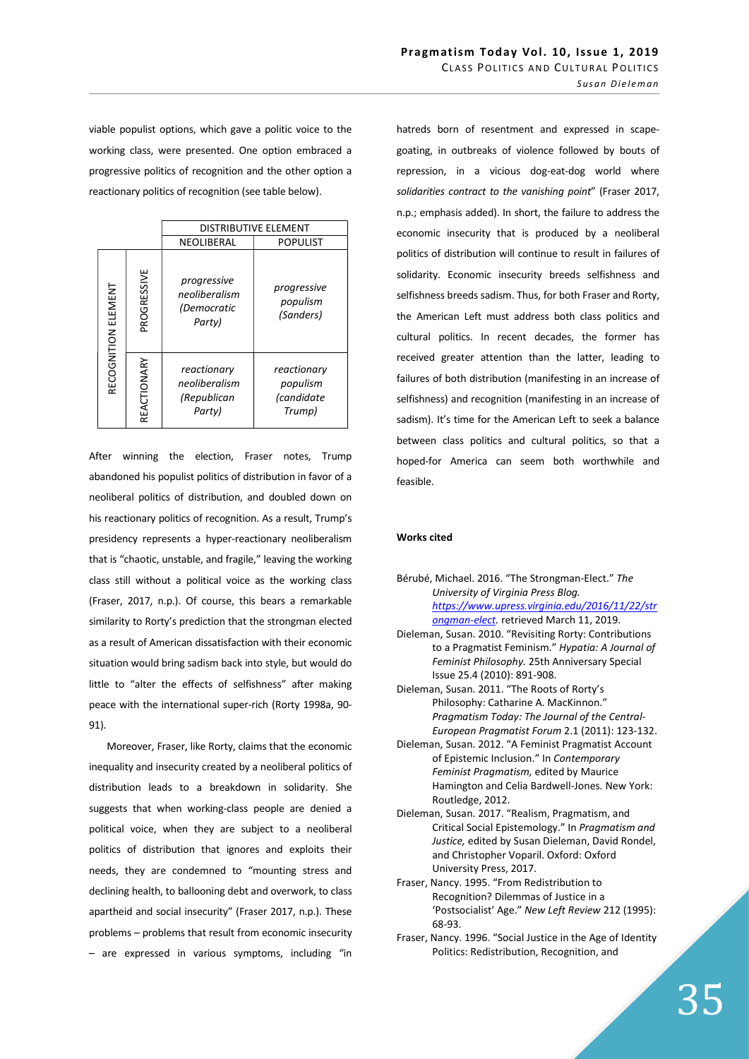viable populist options, which gave a politic voice to the working class, were presented. One option embraced a progressive politics of recognition and the other option a reactionary politics of recognition (see table below).

|                     |             | <b>DISTRIBUTIVE ELEMENT</b>                           |                                                 |
|---------------------|-------------|-------------------------------------------------------|-------------------------------------------------|
|                     |             | NEOLIBERAL                                            | <b>POPULIST</b>                                 |
| RECOGNITION ELEMENT | PROGRESSIVE | progressive<br>neoliberalism<br>(Democratic<br>Party) | progressive<br>populism<br>(Sanders)            |
|                     | REACTIONARY | reactionary<br>neoliberalism<br>(Republican<br>Party) | reactionary<br>populism<br>(candidate<br>Trump) |

After winning the election, Fraser notes, Trump abandoned his populist politics of distribution in favor of a neoliberal politics of distribution, and doubled down on his reactionary politics of recognition. As a result, Trump's presidency represents a hyper-reactionary neoliberalism that is "chaotic, unstable, and fragile," leaving the working class still without a political voice as the working class (Fraser, 2017, n.p.). Of course, this bears a remarkable similarity to Rorty's prediction that the strongman elected as a result of American dissatisfaction with their economic situation would bring sadism back into style, but would do little to "alter the effects of selfishness" after making peace with the international super-rich (Rorty 1998a, 90- 91).

Moreover, Fraser, like Rorty, claims that the economic inequality and insecurity created by a neoliberal politics of distribution leads to a breakdown in solidarity. She suggests that when working-class people are denied a political voice, when they are subject to a neoliberal politics of distribution that ignores and exploits their needs, they are condemned to "mounting stress and declining health, to ballooning debt and overwork, to class apartheid and social insecurity" (Fraser 2017, n.p.). These problems – problems that result from economic insecurity – are expressed in various symptoms, including "in

hatreds born of resentment and expressed in scapegoating, in outbreaks of violence followed by bouts of repression, in a vicious dog-eat-dog world where solidarities contract to the vanishing point" (Fraser 2017, n.p.; emphasis added). In short, the failure to address the economic insecurity that is produced by a neoliberal politics of distribution will continue to result in failures of solidarity. Economic insecurity breeds selfishness and selfishness breeds sadism. Thus, for both Fraser and Rorty, the American Left must address both class politics and cultural politics. In recent decades, the former has received greater attention than the latter, leading to failures of both distribution (manifesting in an increase of selfishness) and recognition (manifesting in an increase of sadism). It's time for the American Left to seek a balance between class politics and cultural politics, so that a hoped-for America can seem both worthwhile and feasible.

# Works cited

| Bérubé, Michael. 2016. "The Strongman-Elect." The |
|---------------------------------------------------|
| University of Virginia Press Blog.                |
| https://www.upress.virginia.edu/2016/11/22/str    |
| ongman-elect. retrieved March 11, 2019.           |

- Dieleman, Susan. 2010. "Revisiting Rorty: Contributions to a Pragmatist Feminism." Hypatia: A Journal of Feminist Philosophy. 25th Anniversary Special Issue 25.4 (2010): 891-908.
- Dieleman, Susan. 2011. "The Roots of Rorty's Philosophy: Catharine A. MacKinnon." Pragmatism Today: The Journal of the Central-European Pragmatist Forum 2.1 (2011): 123-132.
- Dieleman, Susan. 2012. "A Feminist Pragmatist Account of Epistemic Inclusion." In Contemporary Feminist Pragmatism, edited by Maurice Hamington and Celia Bardwell-Jones. New York: Routledge, 2012.
- Dieleman, Susan. 2017. "Realism, Pragmatism, and Critical Social Epistemology." In Pragmatism and Justice, edited by Susan Dieleman, David Rondel, and Christopher Voparil. Oxford: Oxford University Press, 2017.
- Fraser, Nancy. 1995. "From Redistribution to Recognition? Dilemmas of Justice in a 'Postsocialist' Age." New Left Review 212 (1995): 68-93.
- Fraser, Nancy. 1996. "Social Justice in the Age of Identity Politics: Redistribution, Recognition, and